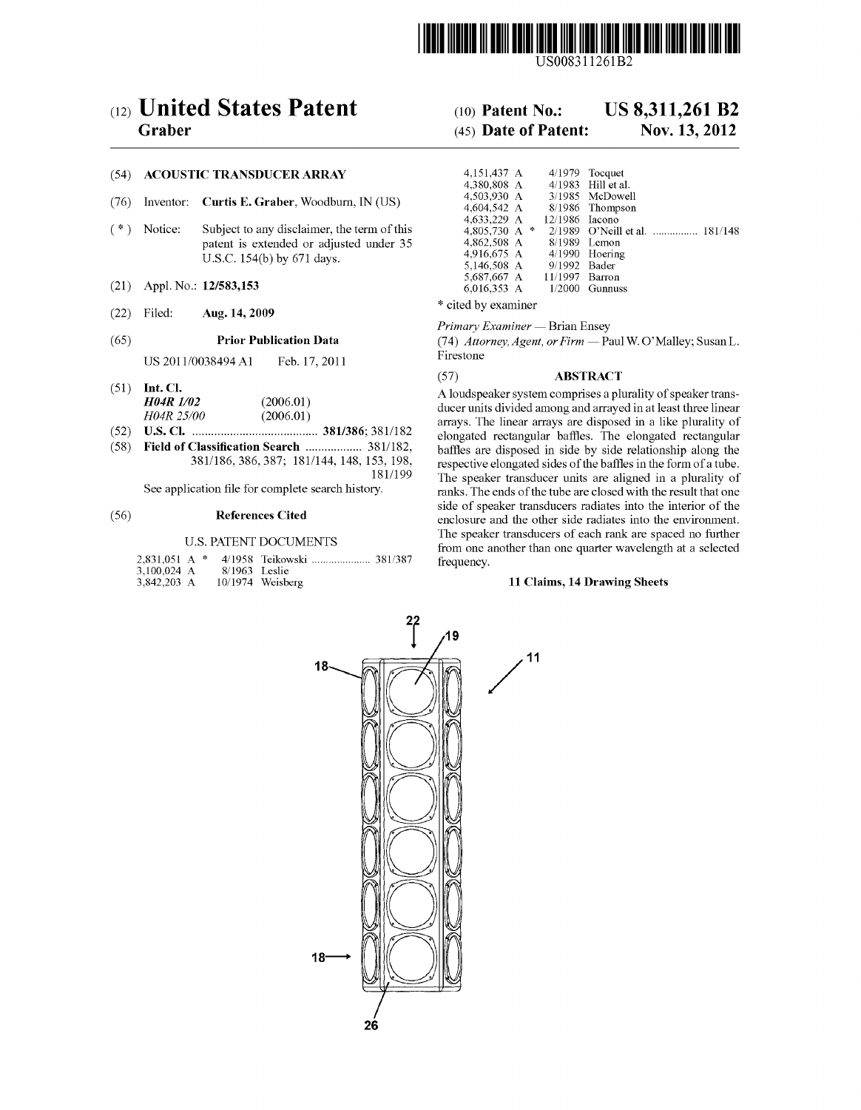

USOO831 1261 B2

### (54) ACOUSTIC TRANSDUCER ARRAY

- (76) Inventor: **Curtis E. Graber**, Woodburn, IN (US)  $(*)$  Notice: Subject to any disclaimer, the term of the
- Subject to any disclaimer, the term of this patent is extended or adjusted under 35 U.S.C. 154(b) by 671 days.
- (21) Appl. No.: 12/583,153
- $*$  cited by examiner<br> $*$  cited by examiner

US 2011/0038494 A1 Feb. 17, 2011 Firestone

- 
- 
- 

### U.S. PATENT DOCUMENTS

| 3,100,024 A |  | 8/1963 Leslie |                    |  |
|-------------|--|---------------|--------------------|--|
| 3,842,203 A |  |               | $10/1974$ Weisberg |  |

# (12) United States Patent (10) Patent No.: US 8,311,261 B2

# Graber (45) Date of Patent: Nov. 13, 2012

| 4.151.437 A<br>4.380.808 A<br>4.503.930 A<br>4,604,542 A<br>4,633,229 A<br>4,805,730 A *<br>4,862,508 A<br>4,916,675 A<br>5.146.508 A<br>5,687,667 A | 12/1986 Iacono<br>9/1992 Bader<br>11/1997 | $4/1979$ Tocquet<br>4/1983 Hill et al.<br>3/1985 McDowell<br>8/1986 Thompson<br>2/1989 O'Neill et al.  181/148<br>8/1989 Lemon<br>$4/1990$ Hoering<br>Barron |
|------------------------------------------------------------------------------------------------------------------------------------------------------|-------------------------------------------|--------------------------------------------------------------------------------------------------------------------------------------------------------------|
| 6,016,353 A                                                                                                                                          | 1/2000                                    | <b>Gunnuss</b>                                                                                                                                               |

Primary Examiner — Brian Ensey

(65) **Prior Publication Data** (74) *Attorney, Agent, or Firm* — Paul W. O'Malley; Susan L.<br>Firestone Firestone

#### **ABSTRACT**

(51) **Int. Cl.**<br> $H04R I/02$  (2006.01) A loudspeaker system comprises a plurality of speaker trans- $H\ddot{\theta}A$  (2006.01)  $H\ddot{\theta}A$  (2006.01) ducer units divided among and arrayed in at least three linear  $H\ddot{\theta}A$  (2006.01)  $(52)$  U.S. Cl.  $\ldots$  (2000.01)<br>381/386; 381/182 elongated rectangular baffles. The elongated rectangular (52) U.S. Cl. ........ grgrrr. 381/386; 381/182 elongated rectangular baffles. The elongated rectangular **Classification Search** ....................... 381/182, baffles are disposed in side by side relationship along the 381/186, 386, 387; 181/144, 148, 153, 198, respective elongated sides of the baffles in the form of a tu  $153, 198,$  respective elongated sides of the baffles in the form of a tube.<br> $181/199$  The speaker transducer units are aligned in a plurality of 181/199 The speaker transducer units are aligned in a plurality of<br>See application file for complete search history. ranks. The ends of the tube are closed with the result that one side of speaker transducers radiates into the interior of the (56) References Cited enclosure and the other side radiates into the environment. The speaker transducers of each rank are spaced no further from one another than one quarter wavelength at a selected frequency.

### 11 Claims, 14 Drawing Sheets

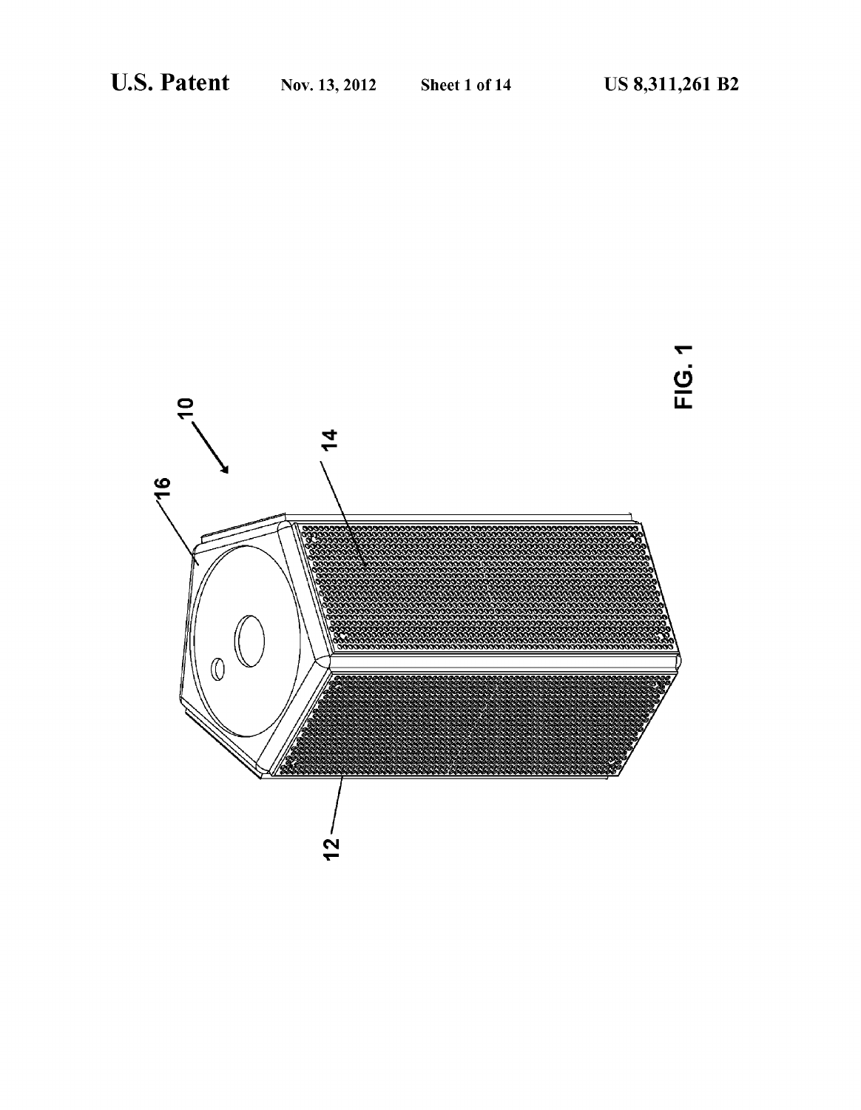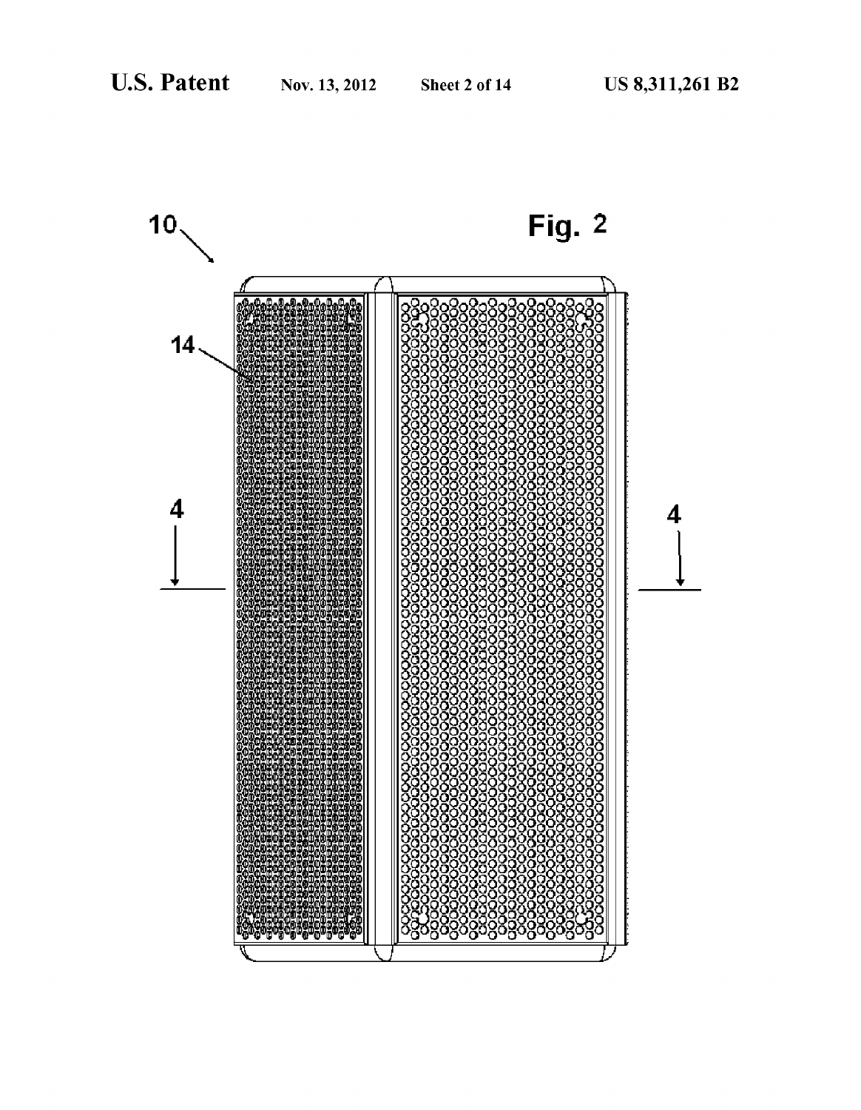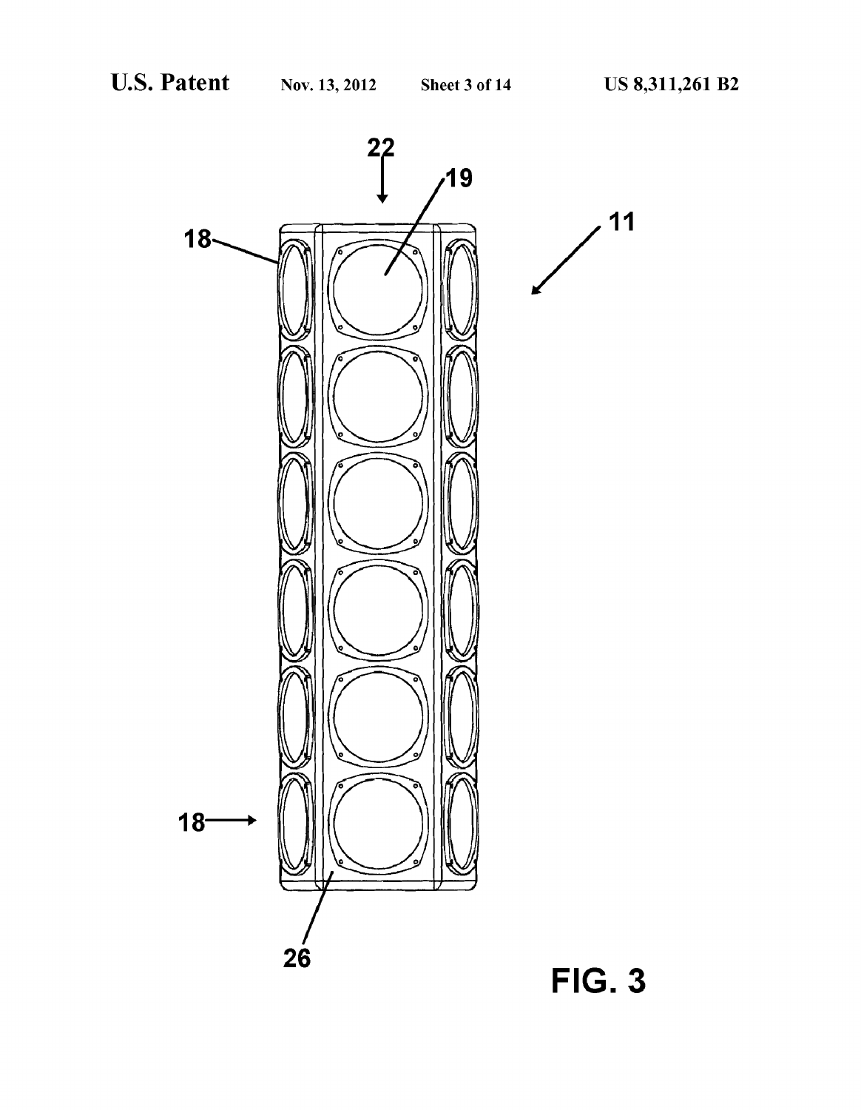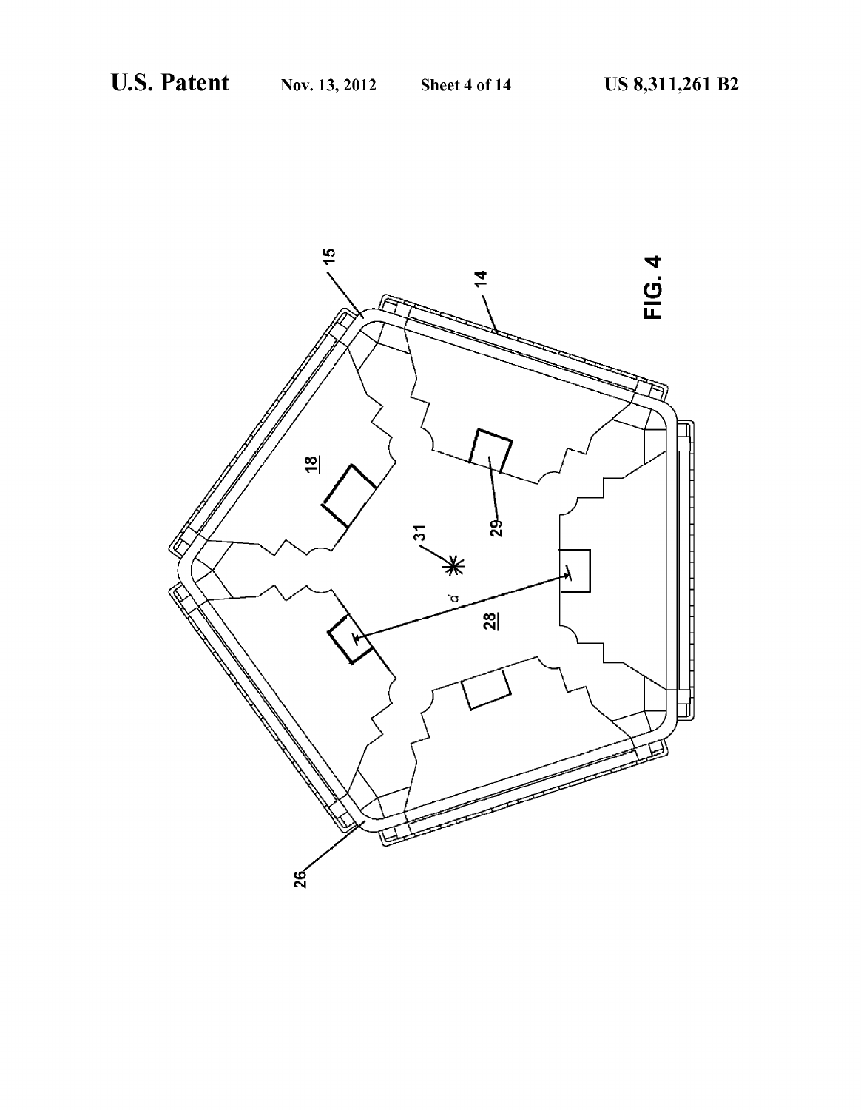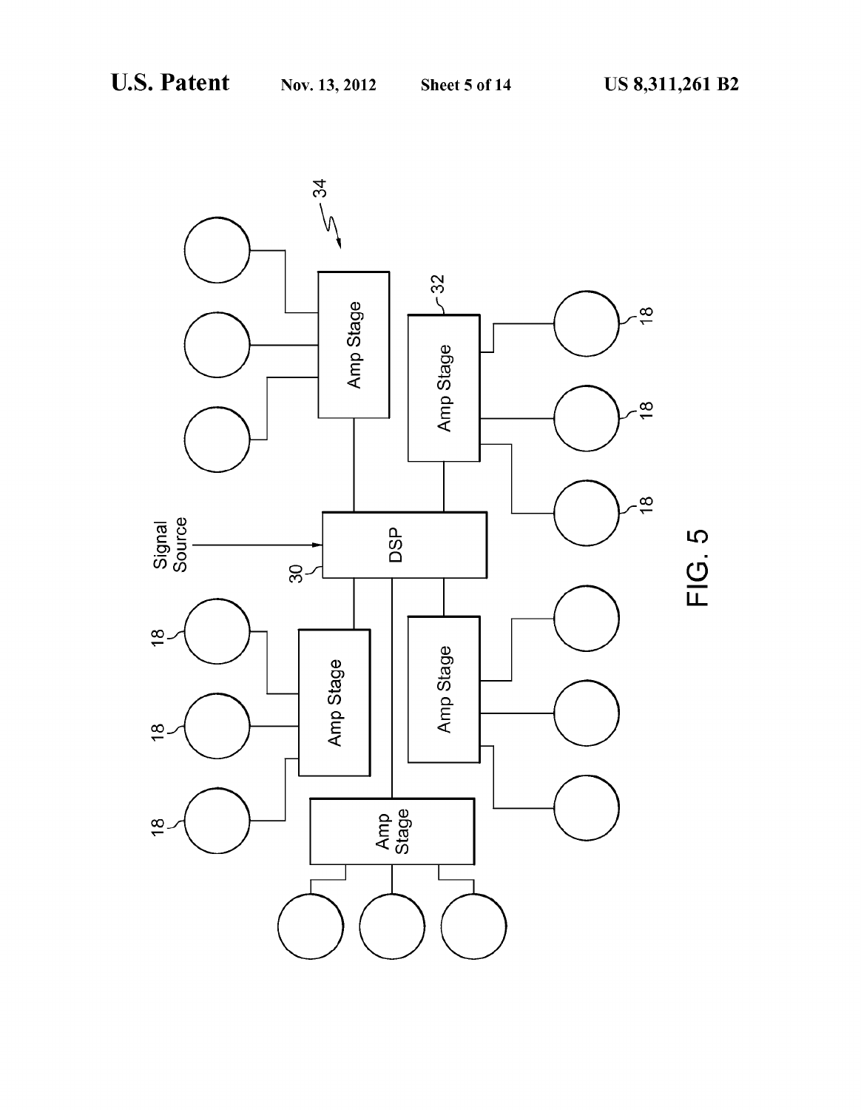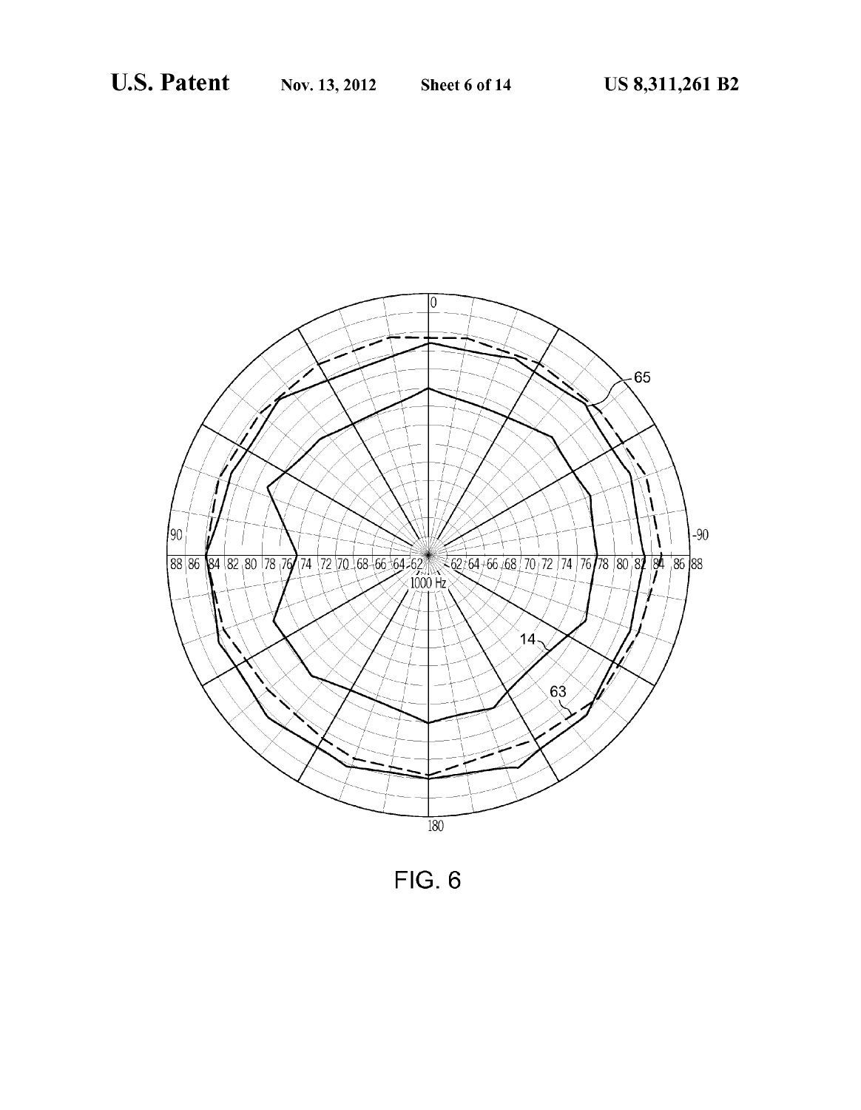

**FIG. 6**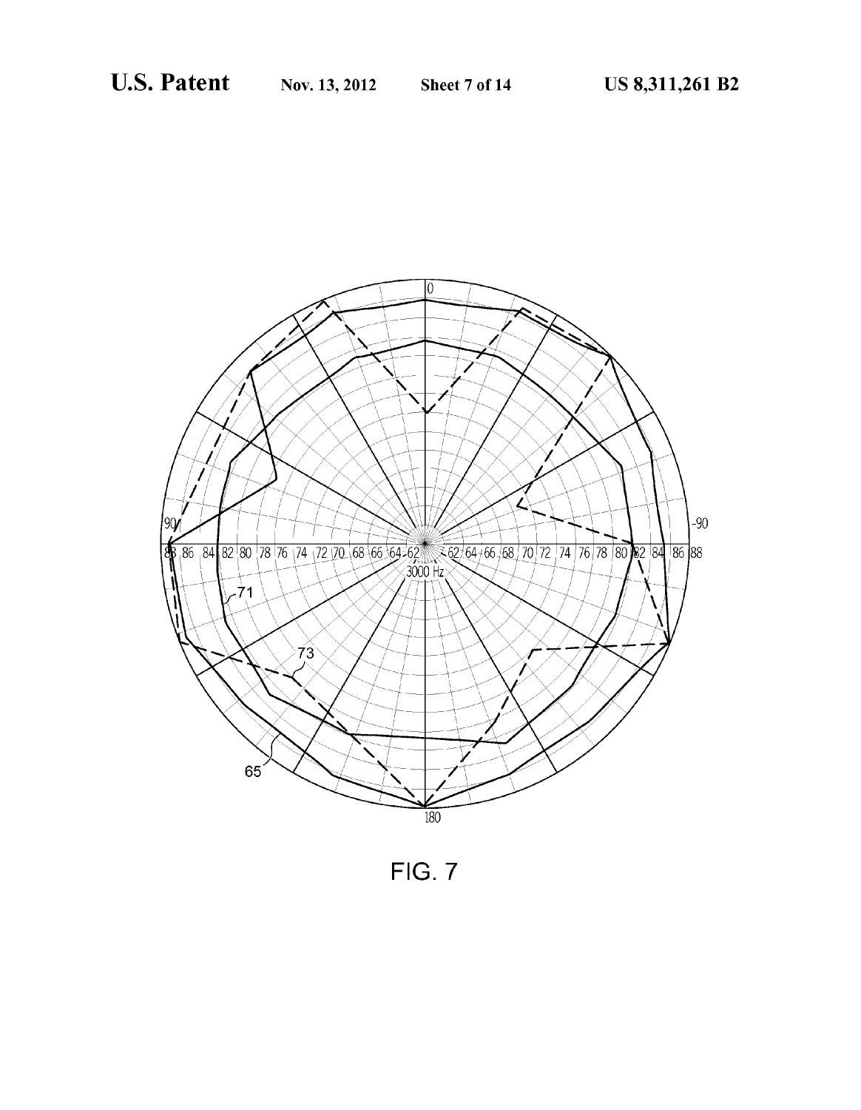

FIG. 7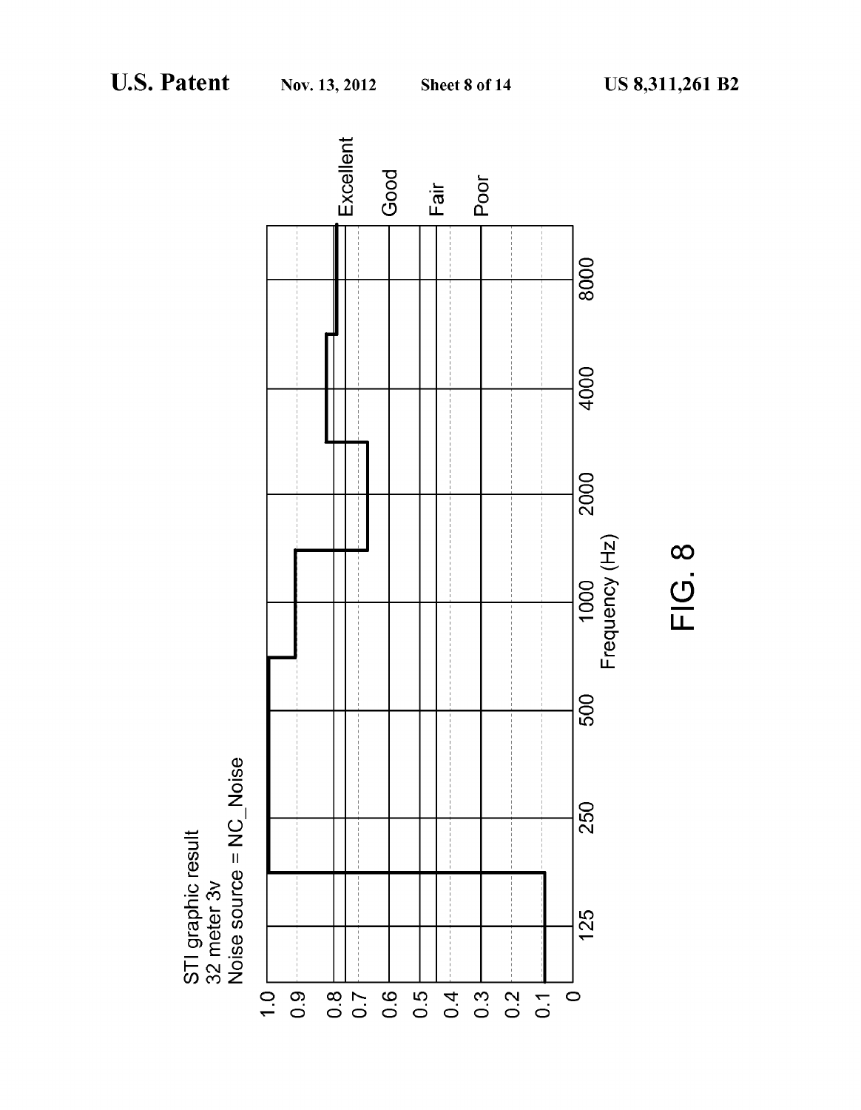



 $FIG. 8$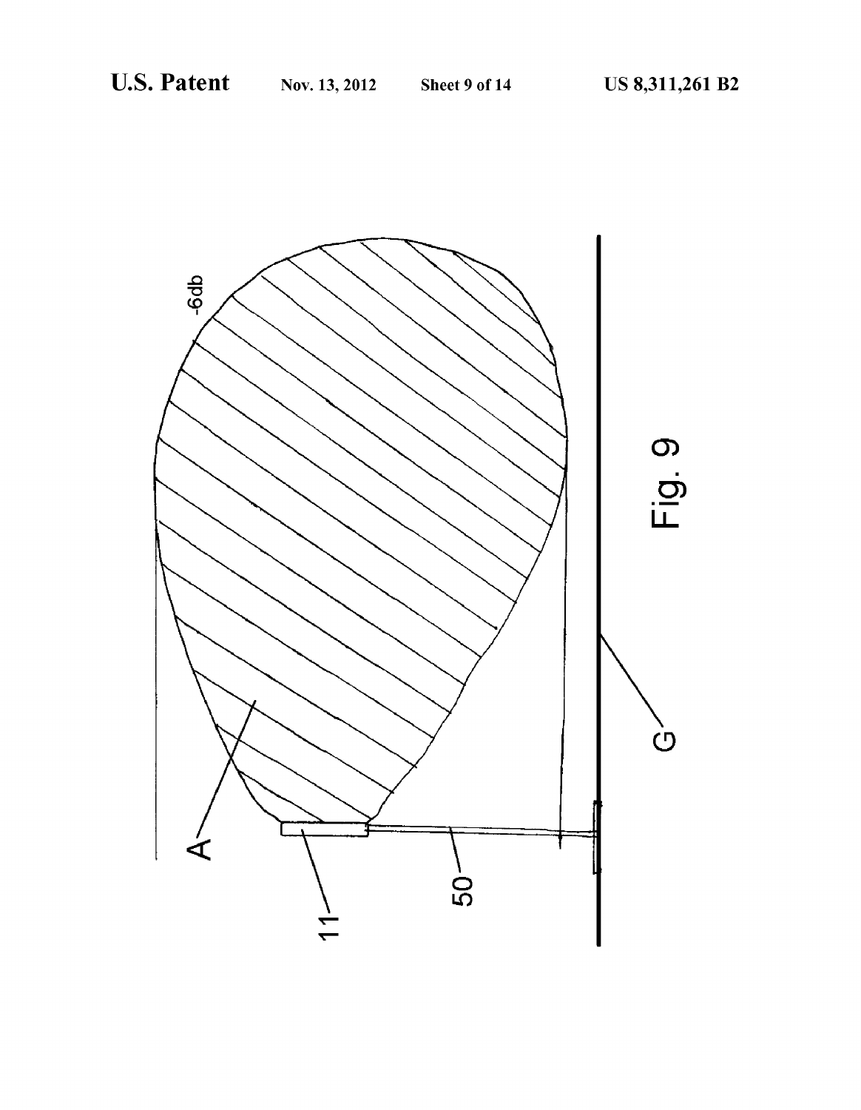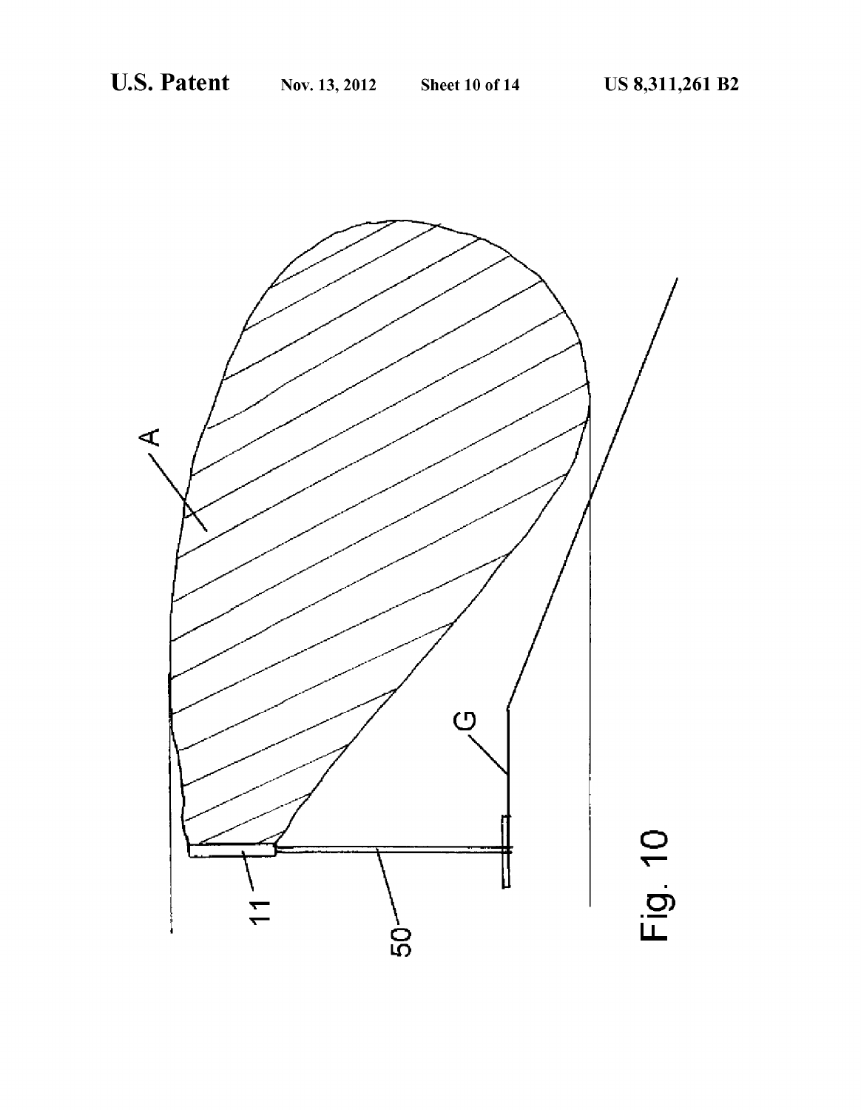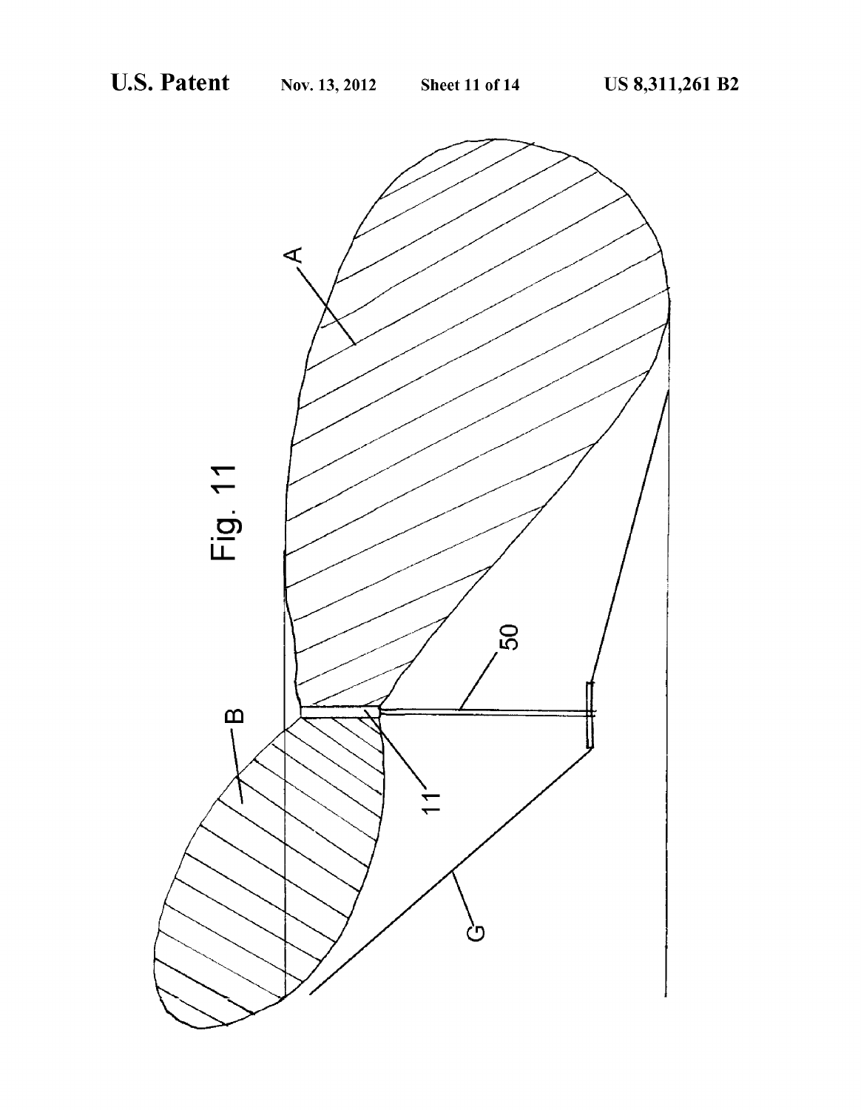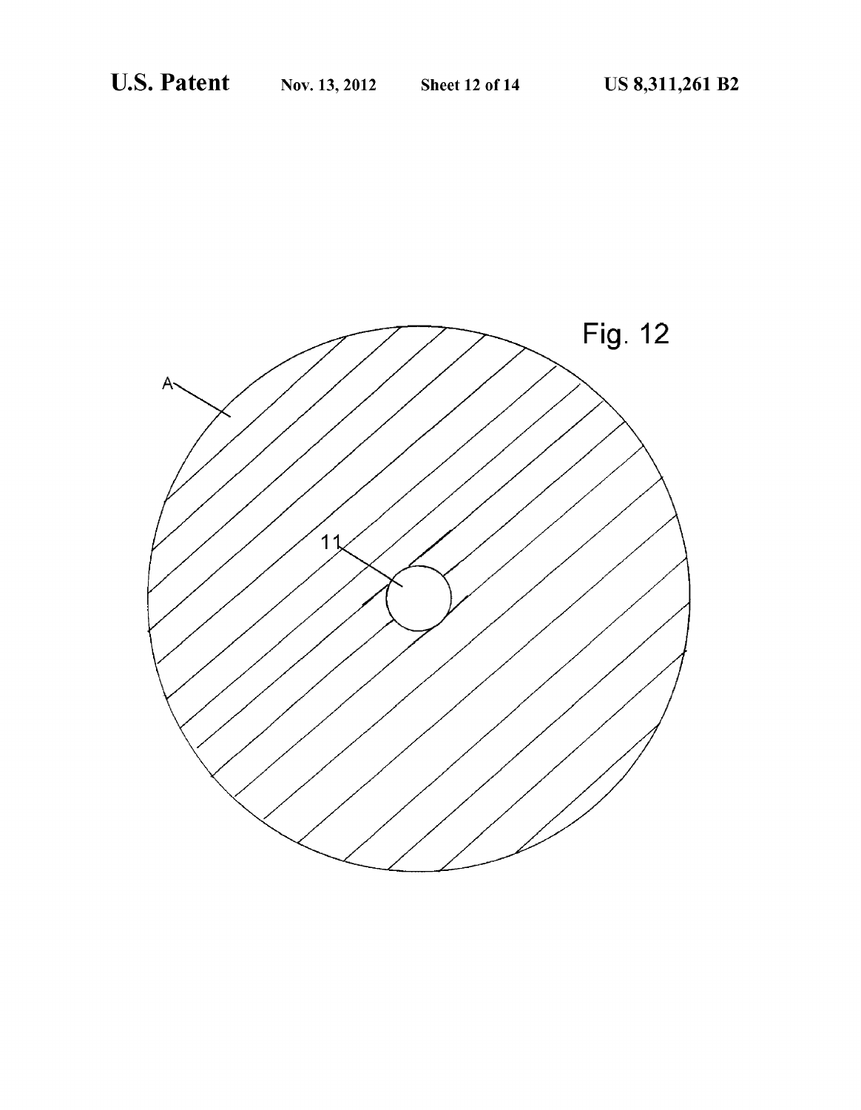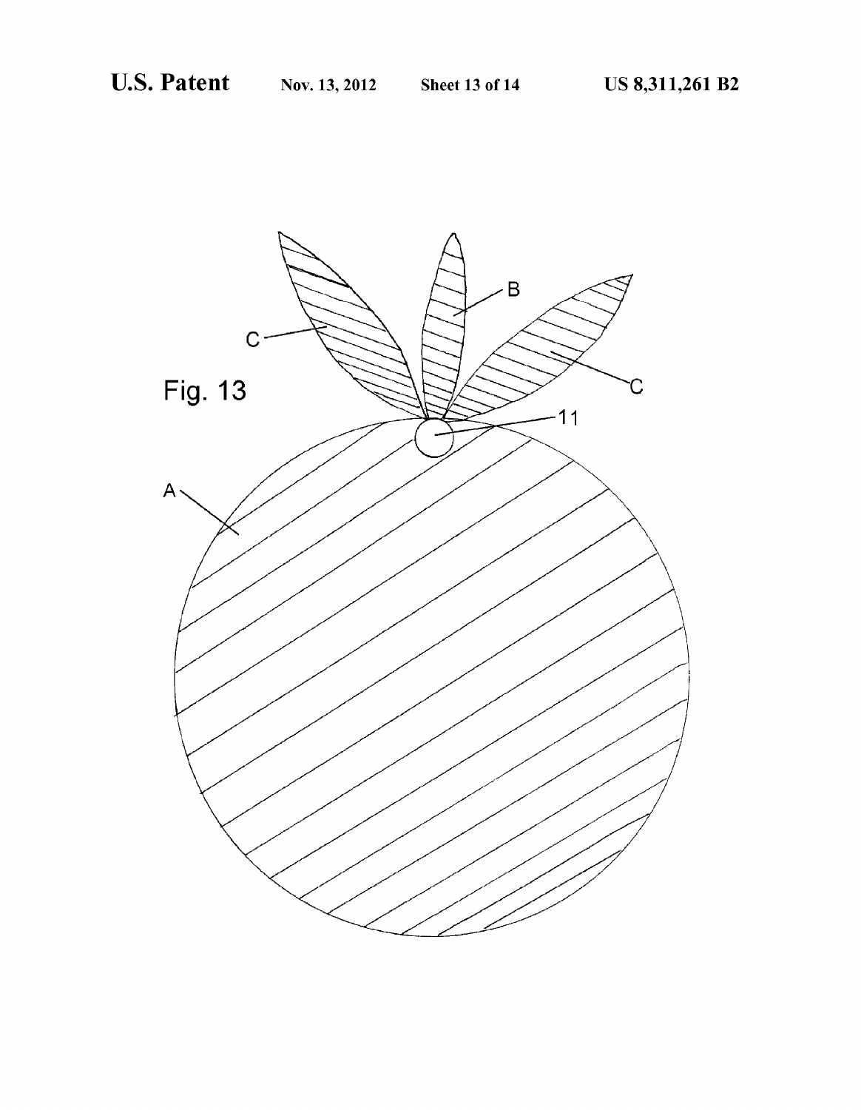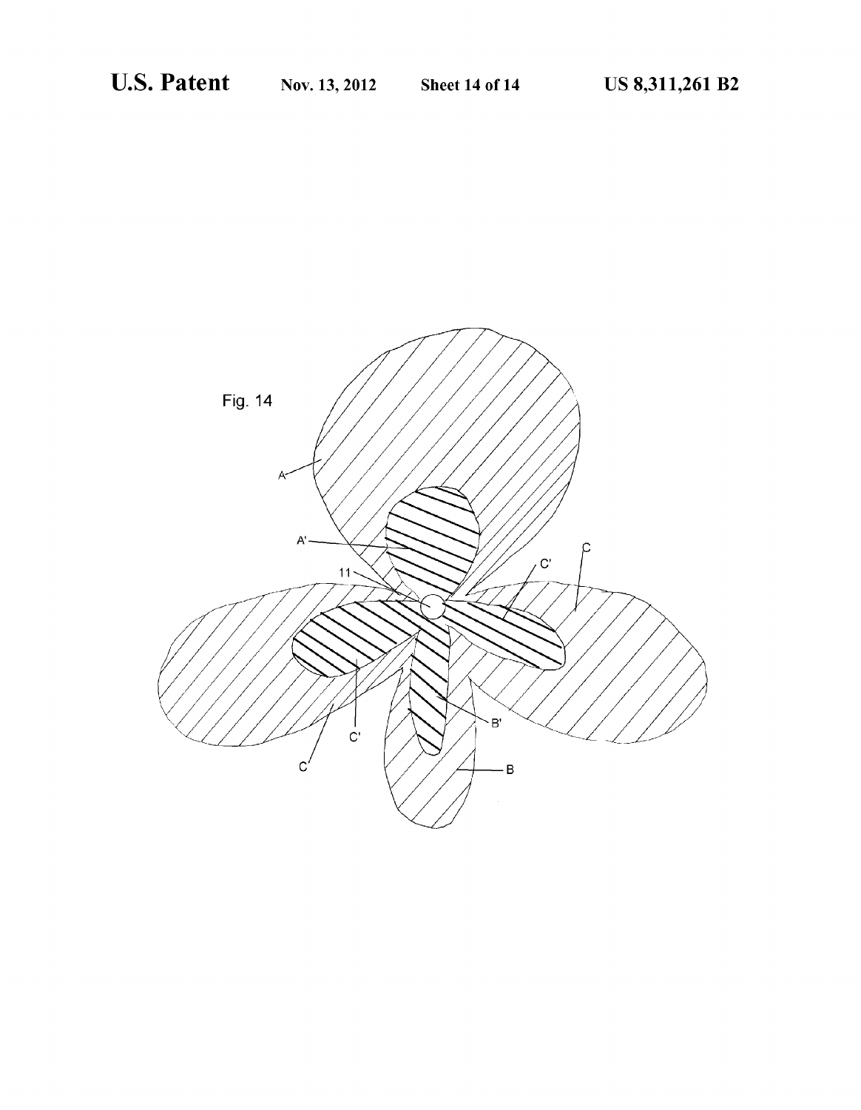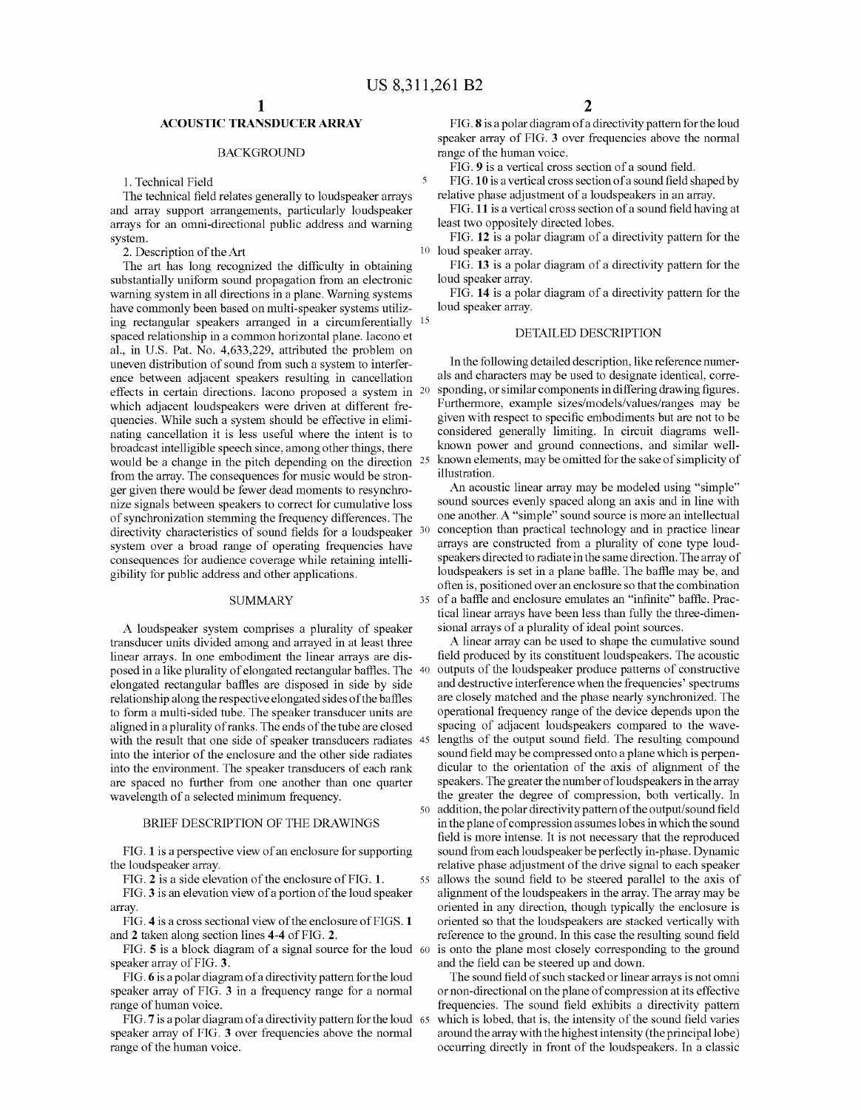## ACOUSTIC TRANSDUCER ARRAY

### BACKGROUND

1. Technical Field

The technical field relates generally to loudspeaker arrays and array Support arrangements, particularly loudspeaker arrays for an omni-directional public address and warning system.

2. Description of the Art

The art has long recognized the difficulty in obtaining substantially uniform sound propagation from an electronic warning system in all directions in a plane. Warning systems have commonly been based on multi-speaker systems utiliz ing rectangular speakers arranged in a circumferentially 15 spaced relationship in a common horizontal plane. Iacono et al., in U.S. Pat. No. 4,633.229, attributed the problem on uneven distribution of sound from such a system to interfer ence between adjacent speakers resulting in cancellation effects in certain directions. Iacono proposed a system in which adjacent loudspeakers were driven at different fre quencies. While such a system should be effective in elimi nating cancellation it is less useful where the intent is to broadcast intelligible speech since, among other things, there would be a change in the pitch depending on the direction 25 from the array. The consequences for music would be stron ger given there would be fewer dead moments to resynchro nize signals between speakers to correct for cumulative loss of synchronization stemming the frequency differences. The directivity characteristics of sound fields for a loudspeaker 30 system over a broad range of operating frequencies have consequences for audience coverage while retaining intelli gibility for public address and other applications.

### **SUMMARY**

A loudspeaker system comprises a plurality of speaker transducer units divided among and arrayed in at least three linear arrays. In one embodiment the linear arrays are dis posed in a like plurality of elongated rectangular baffles. The 40 elongated rectangular baffles are disposed in side by side relationship along the respective elongated sides of the baffles to form a multi-sided tube. The speaker transducer units are aligned in a plurality of ranks. The ends of the tube are closed with the result that one side of speaker transducers radiates 45 into the interior of the enclosure and the other side radiates into the environment. The speaker transducers of each rank are spaced no further from one another than one quarter wavelength of a selected minimum frequency.

#### BRIEF DESCRIPTION OF THE DRAWINGS

FIG. 1 is a perspective view of an enclosure for Supporting the loudspeaker array.

FIG. 2 is a side elevation of the enclosure of FIG. 1.

FIG. 3 is an elevation view of a portion of the loud speaker array.

FIG. 4 is a cross sectional view of the enclosure of FIGS. 1 and 2 taken along section lines 4-4 of FIG. 2.

FIG. 5 is a block diagram of a signal source for the loud 60 speaker array of FIG. 3.

FIG. 6 is a polar diagram of a directivity pattern for the loud speaker array of FIG. 3 in a frequency range for a normal range of human Voice.

FIG. 7 is a polar diagram of a directivity pattern for the loud 65 speaker array of FIG.3 over frequencies above the normal range of the human Voice.

FIG. 8 is a polar diagram of a directivity pattern for the loud speaker array of FIG.3 over frequencies above the normal range of the human Voice.

FIG. 9 is a vertical cross section of a sound field.

FIG.10 is a vertical cross section of a sound field shaped by relative phase adjustment of a loudspeakers in an array.

FIG. 11 is a vertical cross section of a sound field having at least two oppositely directed lobes.

10 loud speaker array. FIG. 12 is a polar diagram of a directivity pattern for the

FIG. 13 is a polar diagram of a directivity pattern for the loud speaker array.

FIG. 14 is a polar diagram of a directivity pattern for the loud speaker array.

#### DETAILED DESCRIPTION

In the following detailed description, like reference numer als and characters may be used to designate identical, corre sponding, or similar components in differing drawing figures. Furthermore, example sizes/models/values/ranges may be given with respect to specific embodiments but are not to be considered generally limiting. In circuit diagrams well known power and ground connections, and similar well known elements, may be omitted for the sake of simplicity of illustration.

35 of a baffle and enclosure emulates an "infinite' baffle. Prac An acoustic linear array may be modeled using "simple' sound sources evenly spaced along an axis and in line with one another. A "simple" sound source is more an intellectual conception than practical technology and in practice linear arrays are constructed from a plurality of cone type loud speakers directed to radiate in the same direction. The array of loudspeakers is set in a plane baffle. The baffle may be, and often is, positioned over an enclosure so that the combination tical linear arrays have been less than fully the three-dimen sional arrays of a plurality of ideal point sources.

50 addition, the polar directivity pattern of the output/sound field 55 allows the sound field to be steered parallel to the axis of A linear array can be used to shape the cumulative sound field produced by its constituent loudspeakers. The acoustic outputs of the loudspeaker produce patterns of constructive and destructive interference when the frequencies' spectrums are closely matched and the phase nearly synchronized. The operational frequency range of the device depends upon the spacing of adjacent loudspeakers compared to the wave lengths of the output sound field. The resulting compound sound field may be compressed onto a plane which is perpendicular to the orientation of the axis of alignment of the speakers. The greater the number of loudspeakers in the array the greater the degree of compression, both vertically. In in the plane of compression assumes lobes in which the sound<br>field is more intense. It is not necessary that the reproduced sound from each loudspeaker be perfectly in-phase. Dynamic relative phase adjustment of the drive signal to each speaker alignment of the loudspeakers in the array. The array may be oriented in any direction, though typically the enclosure is oriented so that the loudspeakers are stacked vertically with reference to the ground. In this case the resulting sound field is onto the plane most closely corresponding to the ground and the field can be steered up and down.

The sound field of such stacked or linear arrays is not omni or non-directional on the plane of compression at its effective frequencies. The sound field exhibits a directivity pattern which is lobed, that is, the intensity of the sound field varies around the array with the highest intensity (the principal lobe) occurring directly in front of the loudspeakers. In a classic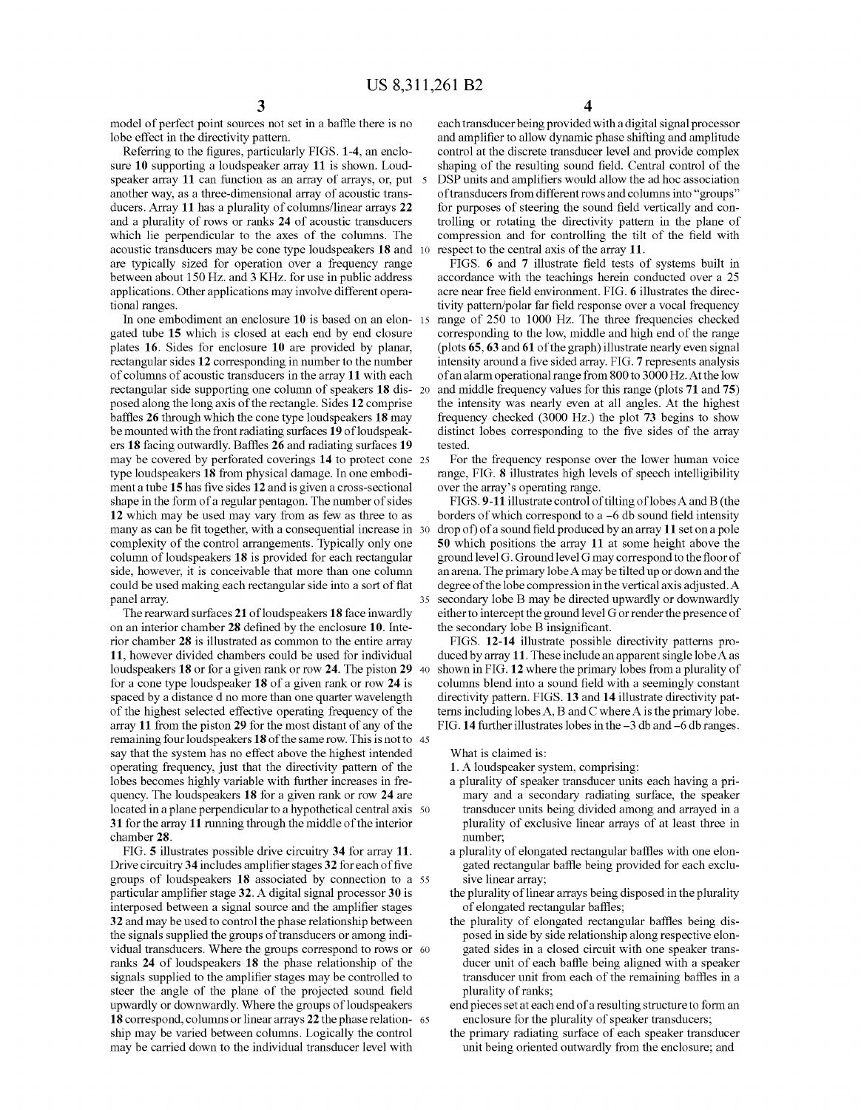model of perfect point sources not set in a baffle there is no lobe effect in the directivity pattern.

Referring to the figures, particularly FIGS. 1-4, an enclo sure 10 supporting a loudspeaker array 11 is shown. Loudspeaker array 11 can function as an array of arrays, or, put 5 another way, as a three-dimensional array of acoustic trans ducers. Array 11 has a plurality of columns/linear arrays 22 and a plurality of rows or ranks 24 of acoustic transducers which lie perpendicular to the axes of the columns. The acoustic transducers may be cone type loudspeakers 18 and are typically sized for operation over a frequency range between about 150 Hz. and 3 KHZ. for use in public address applications. Other applications may involve different operational ranges. 10

In one embodiment an enclosure 10 is based on an elon- 15 gated tube 15 which is closed at each end by end closure plates 16. Sides for enclosure 10 are provided by planar, rectangular sides 12 corresponding in number to the number of columns of acoustic transducers in the array 11 with each rectangular side supporting one column of speakers 18 dis- 20 posed along the long axis of the rectangle. Sides 12 comprise baffles 26 through which the cone type loudspeakers 18 may be mounted with the front radiating surfaces 19 of loudspeak ers 18 facing outwardly. Baffles 26 and radiating surfaces 19 may be covered by perforated coverings 14 to protect cone 25 type loudspeakers 18 from physical damage. In one embodi ment a tube 15 has five sides 12 and is given a cross-sectional shape in the form of a regular pentagon. The number of sides 12 which may be used may vary from as few as three to as many as can be fit together, with a consequential increase in 30 complexity of the control arrangements. Typically only one column of loudspeakers 18 is provided for each rectangular side, however, it is conceivable that more than one column could be used making each rectangular side into a sort of flat panel array.

The rearward surfaces 21 of loudspeakers 18 face inwardly on an interior chamber 28 defined by the enclosure 10. Inte rior chamber 28 is illustrated as common to the entire array 11, however divided chambers could be used for individual loudspeakers  $18$  or for a given rank or row  $24$ . The piston  $29\,$  40 for a cone type loudspeaker 18 of a given rank or row 24 is spaced by a distance d no more than one quarter wavelength of the highest selected effective operating frequency of the array 11 from the piston 29 for the most distant of any of the remaining four loudspeakers **18** of the same row. This is not to 45 say that the system has no effect above the highest intended operating frequency, just that the directivity pattern of the lobes becomes highly variable with further increases in fre quency. The loudspeakers 18 for a given rank or row 24 are located in a plane perpendicular to a hypothetical central axis 50 31 for the array 11 running through the middle of the interior chamber 28.

FIG. 5 illustrates possible drive circuitry 34 for array 11. Drive circuitry 34 includes amplifier stages 32 for each of five groups of loudspeakers 18 associated by connection to a 55 particular amplifier stage 32. A digital signal processor 30 is interposed between a signal source and the amplifier stages 32 and may be used to control the phase relationship between the signals supplied the groups of transducers or among individual transducers. Where the groups correspond to rows or 60 ranks 24 of loudspeakers 18 the phase relationship of the signals supplied to the amplifier stages may be controlled to steer the angle of the plane of the projected sound field upwardly or downwardly. Where the groups of loudspeakers 18 correspond, columns or linear arrays 22 the phase relation ship may be varied between columns. Logically the control may be carried down to the individual transducer level with 65

each transducer being provided with a digital signal processor and amplifier to allow dynamic phase shifting and amplitude control at the discrete transducer level and provide complex shaping of the resulting sound field. Central control of the DSP units and amplifiers would allow the ad hoc association of transducers from different rows and columns into "groups" for purposes of steering the sound field vertically and controlling or rotating the directivity pattern in the plane of compression and for controlling the tilt of the field with respect to the central axis of the array 11.

FIGS. 6 and 7 illustrate field tests of systems built in accordance with the teachings herein conducted over a 25 acre near free field environment. FIG. 6 illustrates the directivity pattern/polar far field response over a vocal frequency range of 250 to 1000 Hz. The three frequencies checked corresponding to the low, middle and high end of the range (plots 65, 63 and 61 of the graph) illustrate nearly even signal intensity around a five sided array. FIG. 7 represents analysis ofan alarm operational range from 800 to 3000 Hz. At the low and middle frequency values for this range (plots 71 and 75) the intensity was nearly even at all angles. At the highest frequency checked (3000 Hz.) the plot 73 begins to show distinct lobes corresponding to the five sides of the array tested.

For the frequency response over the lower human voice range, FIG. 8 illustrates high levels of speech intelligibility over the array's operating range.

FIGS. 9-11 illustrate control of tilting of lobes A and B (the borders of which correspond to a -6 db sound field intensity drop of of a sound field produced by an array 11 set on a pole 50 which positions the array 11 at some height above the ground level G. Ground level G may correspond to the floor of an arena. The primary lobe A may be tilted up or down and the degree of the lobe compression in the vertical axis adjusted. A secondary lobe B may be directed upwardly or downwardly either to intercept the ground level G or render the presence of the secondary lobe B insignificant.

FIGS. 12-14 illustrate possible directivity patterns pro duced by array 11. These include an apparent single lobe A as shown in FIG. 12 where the primary lobes from a plurality of columns blend into a sound field with a seemingly constant directivity pattern. FIGS. 13 and 14 illustrate directivity pat terns including lobes A, B and C where A is the primary lobe. FIG. 14 further illustrates lobes in the -3 db and -6 db ranges.

What is claimed is:

35

- 1. A loudspeaker system, comprising:
- a plurality of speaker transducer units each having a pri mary and a secondary radiating surface, the speaker transducer units being divided among and arrayed in a plurality of exclusive linear arrays of at least three in number,
- a plurality of elongated rectangular baffles with one elon gated rectangular baffle being provided for each exclu sive linear array; the plurality of linear arrays being disposed in the plurality
- of elongated rectangular baffles;
- the plurality of elongated rectangular baffles being dis posed in side by side relationship along respective elon gated sides in a closed circuit with one speaker trans ducer unit of each baffle being aligned with a speaker transducer unit from each of the remaining baffles in a plurality of ranks;
- end pieces set at each end of a resulting structure to forman enclosure for the plurality of speaker transducers;
- the primary radiating surface of each speaker transducer unit being oriented outwardly from the enclosure; and